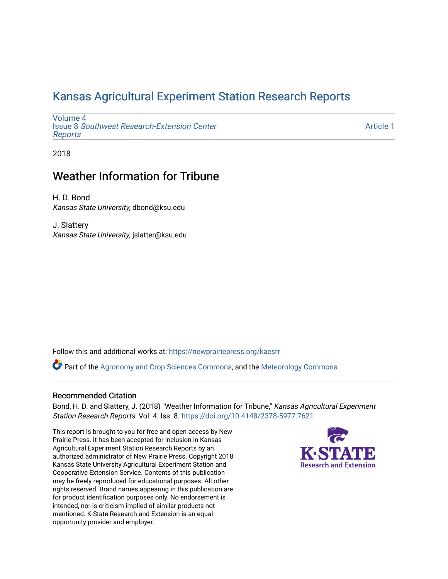## [Kansas Agricultural Experiment Station Research Reports](https://newprairiepress.org/kaesrr)

[Volume 4](https://newprairiepress.org/kaesrr/vol4) Issue 8 [Southwest Research-Extension Center](https://newprairiepress.org/kaesrr/vol4/iss8)  [Reports](https://newprairiepress.org/kaesrr/vol4/iss8)

[Article 1](https://newprairiepress.org/kaesrr/vol4/iss8/1) 

2018

## Weather Information for Tribune

H. D. Bond Kansas State University, dbond@ksu.edu

J. Slattery Kansas State University, jslatter@ksu.edu

Follow this and additional works at: [https://newprairiepress.org/kaesrr](https://newprairiepress.org/kaesrr?utm_source=newprairiepress.org%2Fkaesrr%2Fvol4%2Fiss8%2F1&utm_medium=PDF&utm_campaign=PDFCoverPages) 

Part of the [Agronomy and Crop Sciences Commons,](http://network.bepress.com/hgg/discipline/103?utm_source=newprairiepress.org%2Fkaesrr%2Fvol4%2Fiss8%2F1&utm_medium=PDF&utm_campaign=PDFCoverPages) and the [Meteorology Commons](http://network.bepress.com/hgg/discipline/190?utm_source=newprairiepress.org%2Fkaesrr%2Fvol4%2Fiss8%2F1&utm_medium=PDF&utm_campaign=PDFCoverPages)

#### Recommended Citation

Bond, H. D. and Slattery, J. (2018) "Weather Information for Tribune," Kansas Agricultural Experiment Station Research Reports: Vol. 4: Iss. 8.<https://doi.org/10.4148/2378-5977.7621>

This report is brought to you for free and open access by New Prairie Press. It has been accepted for inclusion in Kansas Agricultural Experiment Station Research Reports by an authorized administrator of New Prairie Press. Copyright 2018 Kansas State University Agricultural Experiment Station and Cooperative Extension Service. Contents of this publication may be freely reproduced for educational purposes. All other rights reserved. Brand names appearing in this publication are for product identification purposes only. No endorsement is intended, nor is criticism implied of similar products not mentioned. K-State Research and Extension is an equal opportunity provider and employer.

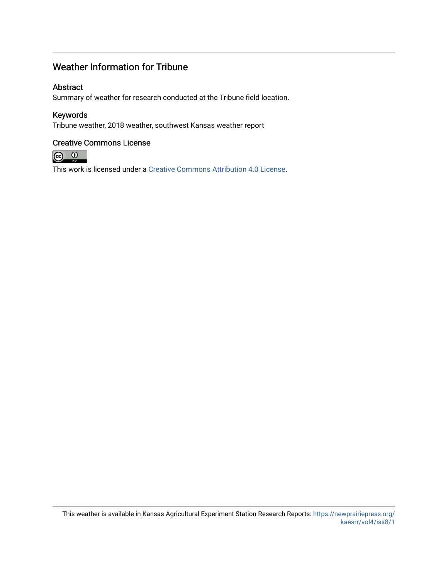## Weather Information for Tribune

#### Abstract

Summary of weather for research conducted at the Tribune field location.

#### Keywords

Tribune weather, 2018 weather, southwest Kansas weather report

#### Creative Commons License



This work is licensed under a [Creative Commons Attribution 4.0 License](https://creativecommons.org/licenses/by/4.0/).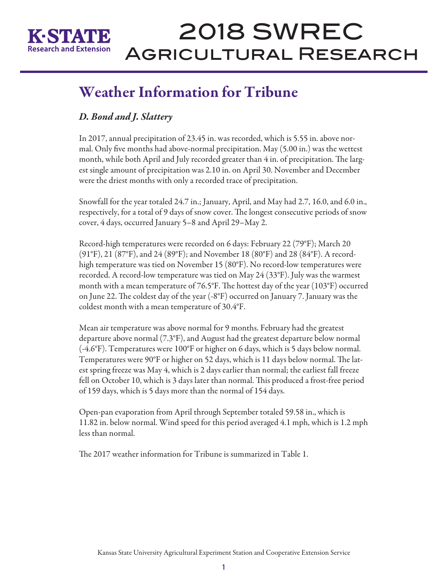

# 2018 SWREC Agricultural Research

## Weather Information for Tribune

### *D. Bond and J. Slattery*

In 2017, annual precipitation of 23.45 in. was recorded, which is 5.55 in. above normal. Only five months had above-normal precipitation. May (5.00 in.) was the wettest month, while both April and July recorded greater than 4 in. of precipitation. The largest single amount of precipitation was 2.10 in. on April 30. November and December were the driest months with only a recorded trace of precipitation.

Snowfall for the year totaled 24.7 in.; January, April, and May had 2.7, 16.0, and 6.0 in., respectively, for a total of 9 days of snow cover. The longest consecutive periods of snow cover, 4 days, occurred January 5–8 and April 29–May 2.

Record-high temperatures were recorded on 6 days: February 22 (79°F); March 20 (91°F), 21 (87°F), and 24 (89°F); and November 18 (80°F) and 28 (84°F). A recordhigh temperature was tied on November 15 (80°F). No record-low temperatures were recorded. A record-low temperature was tied on May 24 (33°F). July was the warmest month with a mean temperature of 76.5°F. The hottest day of the year  $(103°F)$  occurred on June 22. The coldest day of the year (-8°F) occurred on January 7. January was the coldest month with a mean temperature of 30.4°F.

Mean air temperature was above normal for 9 months. February had the greatest departure above normal (7.3°F), and August had the greatest departure below normal (-4.6°F). Temperatures were 100°F or higher on 6 days, which is 5 days below normal. Temperatures were 90°F or higher on 52 days, which is 11 days below normal. The latest spring freeze was May 4, which is 2 days earlier than normal; the earliest fall freeze fell on October 10, which is 3 days later than normal. This produced a frost-free period of 159 days, which is 5 days more than the normal of 154 days.

Open-pan evaporation from April through September totaled 59.58 in., which is 11.82 in. below normal. Wind speed for this period averaged 4.1 mph, which is 1.2 mph less than normal.

The 2017 weather information for Tribune is summarized in Table 1.